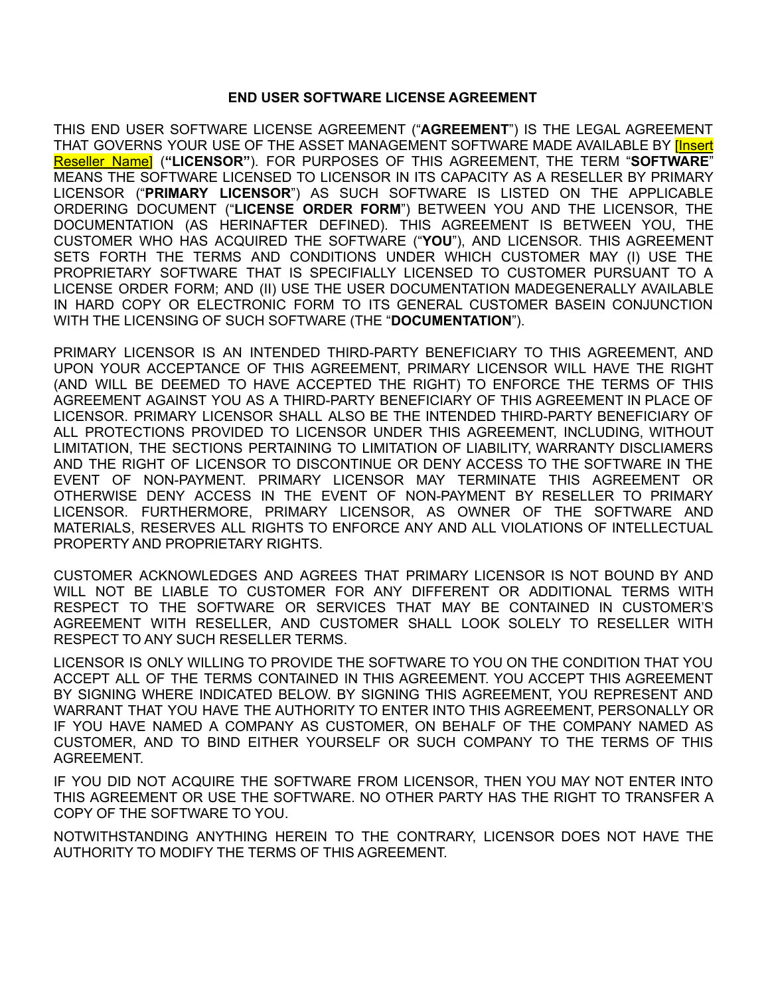#### **END USER SOFTWARE LICENSE AGREEMENT**

THIS END USER SOFTWARE LICENSE AGREEMENT ("**AGREEMENT**") IS THE LEGAL AGREEMENT THAT GOVERNS YOUR USE OF THE ASSET MANAGEMENT SOFTWARE MADE AVAILABLE BY **[Insert** Reseller\_Name] (**"LICENSOR"**). FOR PURPOSES OF THIS AGREEMENT, THE TERM "**SOFTWARE**" MEANS THE SOFTWARE LICENSED TO LICENSOR IN ITS CAPACITY AS A RESELLER BY PRIMARY LICENSOR ("**PRIMARY LICENSOR**") AS SUCH SOFTWARE IS LISTED ON THE APPLICABLE ORDERING DOCUMENT ("**LICENSE ORDER FORM**") BETWEEN YOU AND THE LICENSOR, THE DOCUMENTATION (AS HERINAFTER DEFINED). THIS AGREEMENT IS BETWEEN YOU, THE CUSTOMER WHO HAS ACQUIRED THE SOFTWARE ("**YOU**"), AND LICENSOR. THIS AGREEMENT SETS FORTH THE TERMS AND CONDITIONS UNDER WHICH CUSTOMER MAY (I) USE THE PROPRIETARY SOFTWARE THAT IS SPECIFIALLY LICENSED TO CUSTOMER PURSUANT TO A LICENSE ORDER FORM; AND (II) USE THE USER DOCUMENTATION MADEGENERALLY AVAILABLE IN HARD COPY OR ELECTRONIC FORM TO ITS GENERAL CUSTOMER BASEIN CONJUNCTION WITH THE LICENSING OF SUCH SOFTWARE (THE "**DOCUMENTATION**").

PRIMARY LICENSOR IS AN INTENDED THIRD-PARTY BENEFICIARY TO THIS AGREEMENT, AND UPON YOUR ACCEPTANCE OF THIS AGREEMENT, PRIMARY LICENSOR WILL HAVE THE RIGHT (AND WILL BE DEEMED TO HAVE ACCEPTED THE RIGHT) TO ENFORCE THE TERMS OF THIS AGREEMENT AGAINST YOU AS A THIRD-PARTY BENEFICIARY OF THIS AGREEMENT IN PLACE OF LICENSOR. PRIMARY LICENSOR SHALL ALSO BE THE INTENDED THIRD-PARTY BENEFICIARY OF ALL PROTECTIONS PROVIDED TO LICENSOR UNDER THIS AGREEMENT, INCLUDING, WITHOUT LIMITATION, THE SECTIONS PERTAINING TO LIMITATION OF LIABILITY, WARRANTY DISCLIAMERS AND THE RIGHT OF LICENSOR TO DISCONTINUE OR DENY ACCESS TO THE SOFTWARE IN THE EVENT OF NON-PAYMENT. PRIMARY LICENSOR MAY TERMINATE THIS AGREEMENT OR OTHERWISE DENY ACCESS IN THE EVENT OF NON-PAYMENT BY RESELLER TO PRIMARY LICENSOR. FURTHERMORE, PRIMARY LICENSOR, AS OWNER OF THE SOFTWARE AND MATERIALS, RESERVES ALL RIGHTS TO ENFORCE ANY AND ALL VIOLATIONS OF INTELLECTUAL PROPERTY AND PROPRIETARY RIGHTS.

CUSTOMER ACKNOWLEDGES AND AGREES THAT PRIMARY LICENSOR IS NOT BOUND BY AND WILL NOT BE LIABLE TO CUSTOMER FOR ANY DIFFERENT OR ADDITIONAL TERMS WITH RESPECT TO THE SOFTWARE OR SERVICES THAT MAY BE CONTAINED IN CUSTOMER'S AGREEMENT WITH RESELLER, AND CUSTOMER SHALL LOOK SOLELY TO RESELLER WITH RESPECT TO ANY SUCH RESELLER TERMS.

LICENSOR IS ONLY WILLING TO PROVIDE THE SOFTWARE TO YOU ON THE CONDITION THAT YOU ACCEPT ALL OF THE TERMS CONTAINED IN THIS AGREEMENT. YOU ACCEPT THIS AGREEMENT BY SIGNING WHERE INDICATED BELOW. BY SIGNING THIS AGREEMENT, YOU REPRESENT AND WARRANT THAT YOU HAVE THE AUTHORITY TO ENTER INTO THIS AGREEMENT, PERSONALLY OR IF YOU HAVE NAMED A COMPANY AS CUSTOMER, ON BEHALF OF THE COMPANY NAMED AS CUSTOMER, AND TO BIND EITHER YOURSELF OR SUCH COMPANY TO THE TERMS OF THIS AGREEMENT.

IF YOU DID NOT ACQUIRE THE SOFTWARE FROM LICENSOR, THEN YOU MAY NOT ENTER INTO THIS AGREEMENT OR USE THE SOFTWARE. NO OTHER PARTY HAS THE RIGHT TO TRANSFER A COPY OF THE SOFTWARE TO YOU.

NOTWITHSTANDING ANYTHING HEREIN TO THE CONTRARY, LICENSOR DOES NOT HAVE THE AUTHORITY TO MODIFY THE TERMS OF THIS AGREEMENT.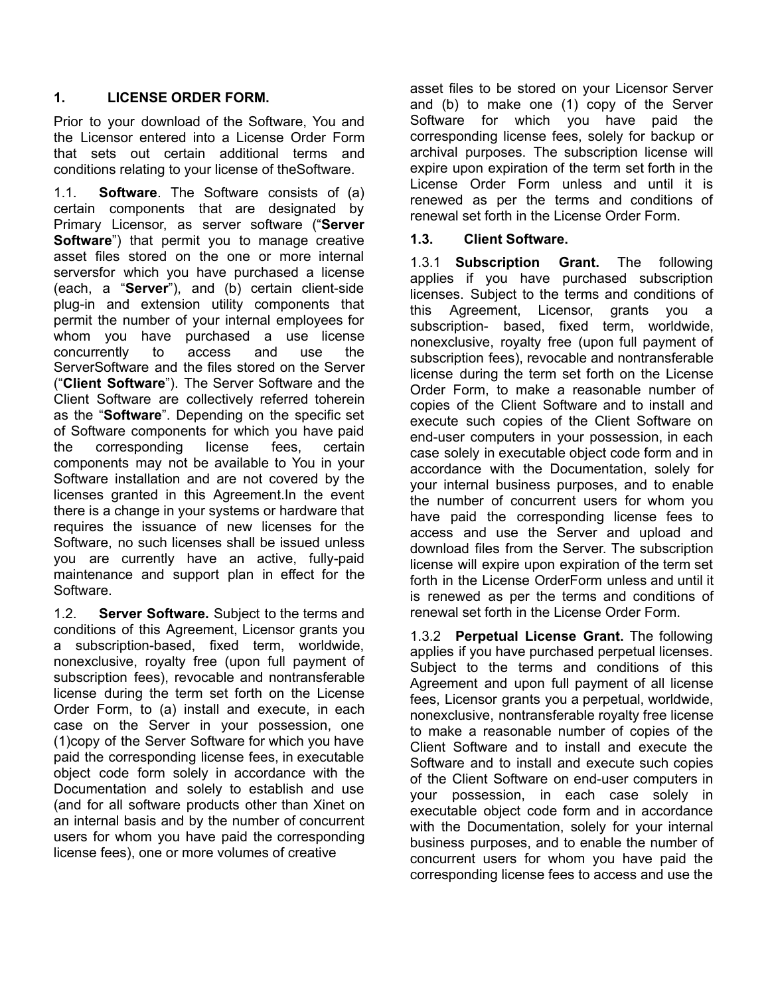#### **1. LICENSE ORDER FORM.**

Prior to your download of the Software, You and the Licensor entered into a License Order Form that sets out certain additional terms and conditions relating to your license of theSoftware.

1.1. **Software**. The Software consists of (a) certain components that are designated by Primary Licensor, as server software ("**Server Software**") that permit you to manage creative asset files stored on the one or more internal serversfor which you have purchased a license (each, a "**Server**"), and (b) certain client-side plug-in and extension utility components that permit the number of your internal employees for whom you have purchased a use license concurrently to access and use the ServerSoftware and the files stored on the Server ("**Client Software**"). The Server Software and the Client Software are collectively referred toherein as the "**Software**". Depending on the specific set of Software components for which you have paid the corresponding license fees, certain components may not be available to You in your Software installation and are not covered by the licenses granted in this Agreement.In the event there is a change in your systems or hardware that requires the issuance of new licenses for the Software, no such licenses shall be issued unless you are currently have an active, fully-paid maintenance and support plan in effect for the Software.

1.2. **Server Software.** Subject to the terms and conditions of this Agreement, Licensor grants you a subscription-based, fixed term, worldwide, nonexclusive, royalty free (upon full payment of subscription fees), revocable and nontransferable license during the term set forth on the License Order Form, to (a) install and execute, in each case on the Server in your possession, one (1)copy of the Server Software for which you have paid the corresponding license fees, in executable object code form solely in accordance with the Documentation and solely to establish and use (and for all software products other than Xinet on an internal basis and by the number of concurrent users for whom you have paid the corresponding license fees), one or more volumes of creative

asset files to be stored on your Licensor Server and (b) to make one (1) copy of the Server Software for which you have paid the corresponding license fees, solely for backup or archival purposes. The subscription license will expire upon expiration of the term set forth in the License Order Form unless and until it is renewed as per the terms and conditions of renewal set forth in the License Order Form.

#### **1.3. Client Software.**

1.3.1 **Subscription Grant.** The following applies if you have purchased subscription licenses. Subject to the terms and conditions of this Agreement, Licensor, grants you a subscription- based, fixed term, worldwide, nonexclusive, royalty free (upon full payment of subscription fees), revocable and nontransferable license during the term set forth on the License Order Form, to make a reasonable number of copies of the Client Software and to install and execute such copies of the Client Software on end-user computers in your possession, in each case solely in executable object code form and in accordance with the Documentation, solely for your internal business purposes, and to enable the number of concurrent users for whom you have paid the corresponding license fees to access and use the Server and upload and download files from the Server. The subscription license will expire upon expiration of the term set forth in the License OrderForm unless and until it is renewed as per the terms and conditions of renewal set forth in the License Order Form.

1.3.2 **Perpetual License Grant.** The following applies if you have purchased perpetual licenses. Subject to the terms and conditions of this Agreement and upon full payment of all license fees, Licensor grants you a perpetual, worldwide, nonexclusive, nontransferable royalty free license to make a reasonable number of copies of the Client Software and to install and execute the Software and to install and execute such copies of the Client Software on end-user computers in your possession, in each case solely in executable object code form and in accordance with the Documentation, solely for your internal business purposes, and to enable the number of concurrent users for whom you have paid the corresponding license fees to access and use the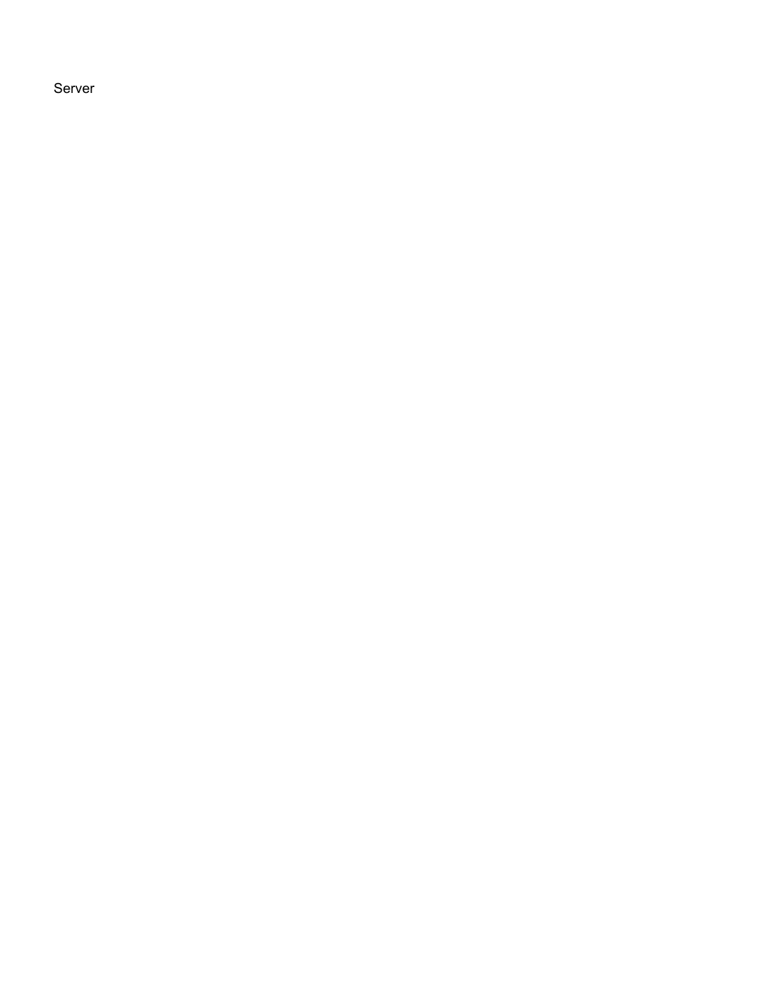Server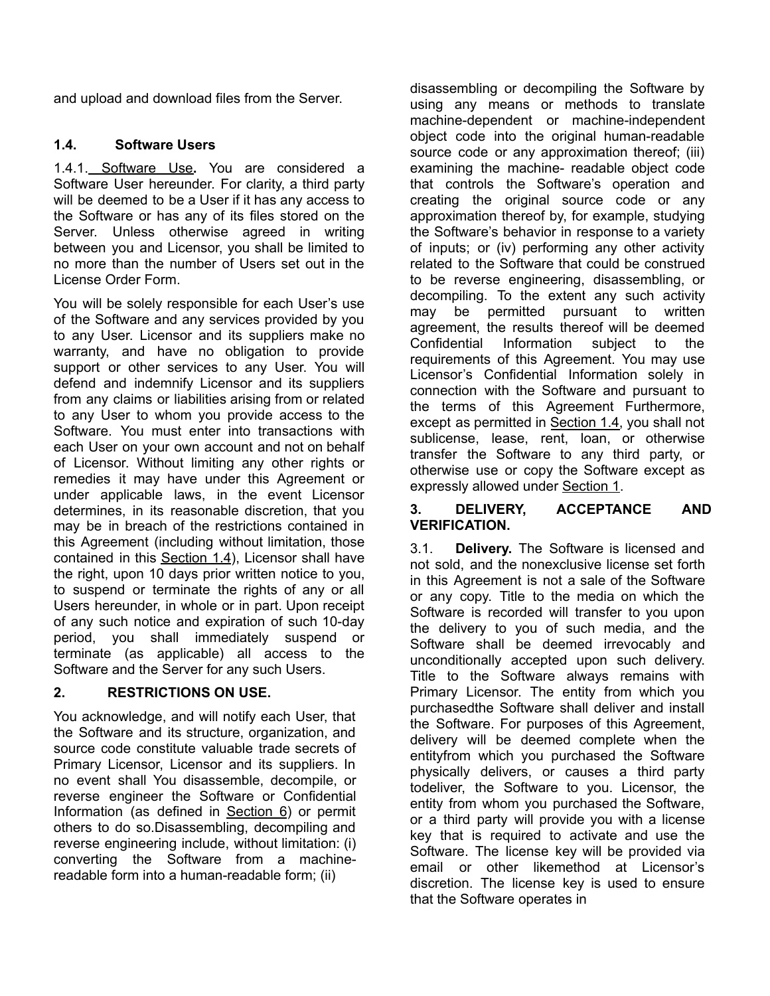and upload and download files from the Server.

### **1.4. Software Users**

1.4.1. Software Use**.** You are considered a Software User hereunder. For clarity, a third party will be deemed to be a User if it has any access to the Software or has any of its files stored on the Server. Unless otherwise agreed in writing between you and Licensor, you shall be limited to no more than the number of Users set out in the License Order Form.

You will be solely responsible for each User's use of the Software and any services provided by you to any User. Licensor and its suppliers make no warranty, and have no obligation to provide support or other services to any User. You will defend and indemnify Licensor and its suppliers from any claims or liabilities arising from or related to any User to whom you provide access to the Software. You must enter into transactions with each User on your own account and not on behalf of Licensor. Without limiting any other rights or remedies it may have under this Agreement or under applicable laws, in the event Licensor determines, in its reasonable discretion, that you may be in breach of the restrictions contained in this Agreement (including without limitation, those contained in this Section  $1.4$ ), Licensor shall have the right, upon 10 days prior written notice to you, to suspend or terminate the rights of any or all Users hereunder, in whole or in part. Upon receipt of any such notice and expiration of such 10-day period, you shall immediately suspend or terminate (as applicable) all access to the Software and the Server for any such Users.

### **2. RESTRICTIONS ON USE.**

You acknowledge, and will notify each User, that the Software and its structure, organization, and source code constitute valuable trade secrets of Primary Licensor, Licensor and its suppliers. In no event shall You disassemble, decompile, or reverse engineer the Software or Confidential Information (as defined in Section 6) or permit others to do so.Disassembling, decompiling and reverse engineering include, without limitation: (i) converting the Software from a machinereadable form into a human-readable form; (ii)

disassembling or decompiling the Software by using any means or methods to translate machine-dependent or machine-independent object code into the original human-readable source code or any approximation thereof; (iii) examining the machine- readable object code that controls the Software's operation and creating the original source code or any approximation thereof by, for example, studying the Software's behavior in response to a variety of inputs; or (iv) performing any other activity related to the Software that could be construed to be reverse engineering, disassembling, or decompiling. To the extent any such activity may be permitted pursuant to written agreement, the results thereof will be deemed Confidential Information subject to the requirements of this Agreement. You may use Licensor's Confidential Information solely in connection with the Software and pursuant to the terms of this Agreement Furthermore, except as permitted in Section 1.4, you shall not sublicense, lease, rent, loan, or otherwise transfer the Software to any third party, or otherwise use or copy the Software except as expressly allowed under Section 1.

#### **3. DELIVERY, ACCEPTANCE AND VERIFICATION.**

3.1. **Delivery.** The Software is licensed and not sold, and the nonexclusive license set forth in this Agreement is not a sale of the Software or any copy. Title to the media on which the Software is recorded will transfer to you upon the delivery to you of such media, and the Software shall be deemed irrevocably and unconditionally accepted upon such delivery. Title to the Software always remains with Primary Licensor. The entity from which you purchasedthe Software shall deliver and install the Software. For purposes of this Agreement, delivery will be deemed complete when the entityfrom which you purchased the Software physically delivers, or causes a third party todeliver, the Software to you. Licensor, the entity from whom you purchased the Software, or a third party will provide you with a license key that is required to activate and use the Software. The license key will be provided via email or other likemethod at Licensor's discretion. The license key is used to ensure that the Software operates in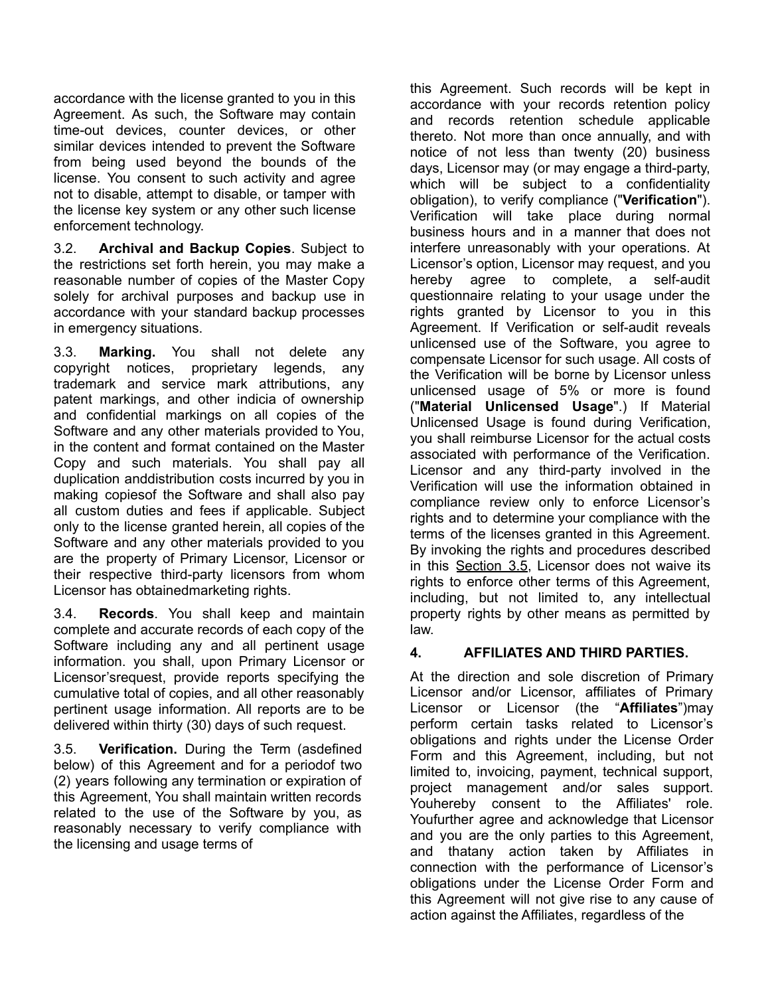accordance with the license granted to you in this Agreement. As such, the Software may contain time-out devices, counter devices, or other similar devices intended to prevent the Software from being used beyond the bounds of the license. You consent to such activity and agree not to disable, attempt to disable, or tamper with the license key system or any other such license enforcement technology.

3.2. **Archival and Backup Copies**. Subject to the restrictions set forth herein, you may make a reasonable number of copies of the Master Copy solely for archival purposes and backup use in accordance with your standard backup processes in emergency situations.

3.3. **Marking.** You shall not delete any copyright notices, proprietary legends, any trademark and service mark attributions, any patent markings, and other indicia of ownership and confidential markings on all copies of the Software and any other materials provided to You, in the content and format contained on the Master Copy and such materials. You shall pay all duplication anddistribution costs incurred by you in making copiesof the Software and shall also pay all custom duties and fees if applicable. Subject only to the license granted herein, all copies of the Software and any other materials provided to you are the property of Primary Licensor, Licensor or their respective third-party licensors from whom Licensor has obtainedmarketing rights.

3.4. **Records**. You shall keep and maintain complete and accurate records of each copy of the Software including any and all pertinent usage information. you shall, upon Primary Licensor or Licensor'srequest, provide reports specifying the cumulative total of copies, and all other reasonably pertinent usage information. All reports are to be delivered within thirty (30) days of such request.

3.5. **Verification.** During the Term (asdefined below) of this Agreement and for a periodof two (2) years following any termination or expiration of this Agreement, You shall maintain written records related to the use of the Software by you, as reasonably necessary to verify compliance with the licensing and usage terms of

this Agreement. Such records will be kept in accordance with your records retention policy and records retention schedule applicable thereto. Not more than once annually, and with notice of not less than twenty (20) business days, Licensor may (or may engage a third-party, which will be subject to a confidentiality obligation), to verify compliance ("**Verification**"). Verification will take place during normal business hours and in a manner that does not interfere unreasonably with your operations. At Licensor's option, Licensor may request, and you hereby agree to complete, a self-audit questionnaire relating to your usage under the rights granted by Licensor to you in this Agreement. If Verification or self-audit reveals unlicensed use of the Software, you agree to compensate Licensor for such usage. All costs of the Verification will be borne by Licensor unless unlicensed usage of 5% or more is found ("**Material Unlicensed Usage**".) If Material Unlicensed Usage is found during Verification, you shall reimburse Licensor for the actual costs associated with performance of the Verification. Licensor and any third-party involved in the Verification will use the information obtained in compliance review only to enforce Licensor's rights and to determine your compliance with the terms of the licenses granted in this Agreement. By invoking the rights and procedures described in this Section 3.5, Licensor does not waive its rights to enforce other terms of this Agreement, including, but not limited to, any intellectual property rights by other means as permitted by law.

### **4. AFFILIATES AND THIRD PARTIES.**

At the direction and sole discretion of Primary Licensor and/or Licensor, affiliates of Primary Licensor or Licensor (the "**Affiliates**")may perform certain tasks related to Licensor's obligations and rights under the License Order Form and this Agreement, including, but not limited to, invoicing, payment, technical support, project management and/or sales support. Youhereby consent to the Affiliates' role. Youfurther agree and acknowledge that Licensor and you are the only parties to this Agreement, and thatany action taken by Affiliates in connection with the performance of Licensor's obligations under the License Order Form and this Agreement will not give rise to any cause of action against the Affiliates, regardless of the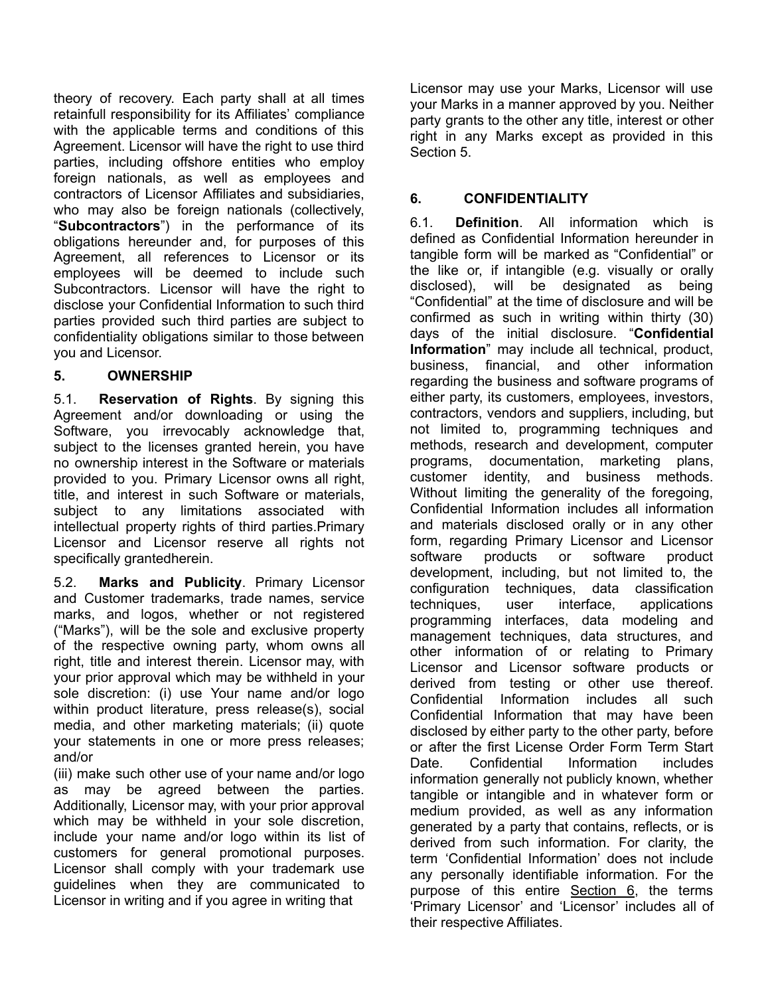theory of recovery. Each party shall at all times retainfull responsibility for its Affiliates' compliance with the applicable terms and conditions of this Agreement. Licensor will have the right to use third parties, including offshore entities who employ foreign nationals, as well as employees and contractors of Licensor Affiliates and subsidiaries, who may also be foreign nationals (collectively, "**Subcontractors**") in the performance of its obligations hereunder and, for purposes of this Agreement, all references to Licensor or its employees will be deemed to include such Subcontractors. Licensor will have the right to disclose your Confidential Information to such third parties provided such third parties are subject to confidentiality obligations similar to those between you and Licensor.

### **5. OWNERSHIP**

5.1. **Reservation of Rights**. By signing this Agreement and/or downloading or using the Software, you irrevocably acknowledge that, subject to the licenses granted herein, you have no ownership interest in the Software or materials provided to you. Primary Licensor owns all right, title, and interest in such Software or materials, subject to any limitations associated with intellectual property rights of third parties.Primary Licensor and Licensor reserve all rights not specifically grantedherein.

5.2. **Marks and Publicity**. Primary Licensor and Customer trademarks, trade names, service marks, and logos, whether or not registered ("Marks"), will be the sole and exclusive property of the respective owning party, whom owns all right, title and interest therein. Licensor may, with your prior approval which may be withheld in your sole discretion: (i) use Your name and/or logo within product literature, press release(s), social media, and other marketing materials; (ii) quote your statements in one or more press releases; and/or

(iii) make such other use of your name and/or logo as may be agreed between the parties. Additionally, Licensor may, with your prior approval which may be withheld in your sole discretion, include your name and/or logo within its list of customers for general promotional purposes. Licensor shall comply with your trademark use guidelines when they are communicated to Licensor in writing and if you agree in writing that

Licensor may use your Marks, Licensor will use your Marks in a manner approved by you. Neither party grants to the other any title, interest or other right in any Marks except as provided in this Section 5.

## **6. CONFIDENTIALITY**

6.1. **Definition**. All information which is defined as Confidential Information hereunder in tangible form will be marked as "Confidential" or the like or, if intangible (e.g. visually or orally disclosed), will be designated as being "Confidential" at the time of disclosure and will be confirmed as such in writing within thirty (30) days of the initial disclosure. "**Confidential Information**" may include all technical, product, business, financial, and other information regarding the business and software programs of either party, its customers, employees, investors, contractors, vendors and suppliers, including, but not limited to, programming techniques and methods, research and development, computer programs, documentation, marketing plans, customer identity, and business methods. Without limiting the generality of the foregoing, Confidential Information includes all information and materials disclosed orally or in any other form, regarding Primary Licensor and Licensor software products or software product development, including, but not limited to, the configuration techniques, data classification techniques, user interface, applications programming interfaces, data modeling and management techniques, data structures, and other information of or relating to Primary Licensor and Licensor software products or derived from testing or other use thereof. Confidential Information includes all such Confidential Information that may have been disclosed by either party to the other party, before or after the first License Order Form Term Start Date. Confidential Information includes information generally not publicly known, whether tangible or intangible and in whatever form or medium provided, as well as any information generated by a party that contains, reflects, or is derived from such information. For clarity, the term 'Confidential Information' does not include any personally identifiable information. For the purpose of this entire Section 6, the terms 'Primary Licensor' and 'Licensor' includes all of their respective Affiliates.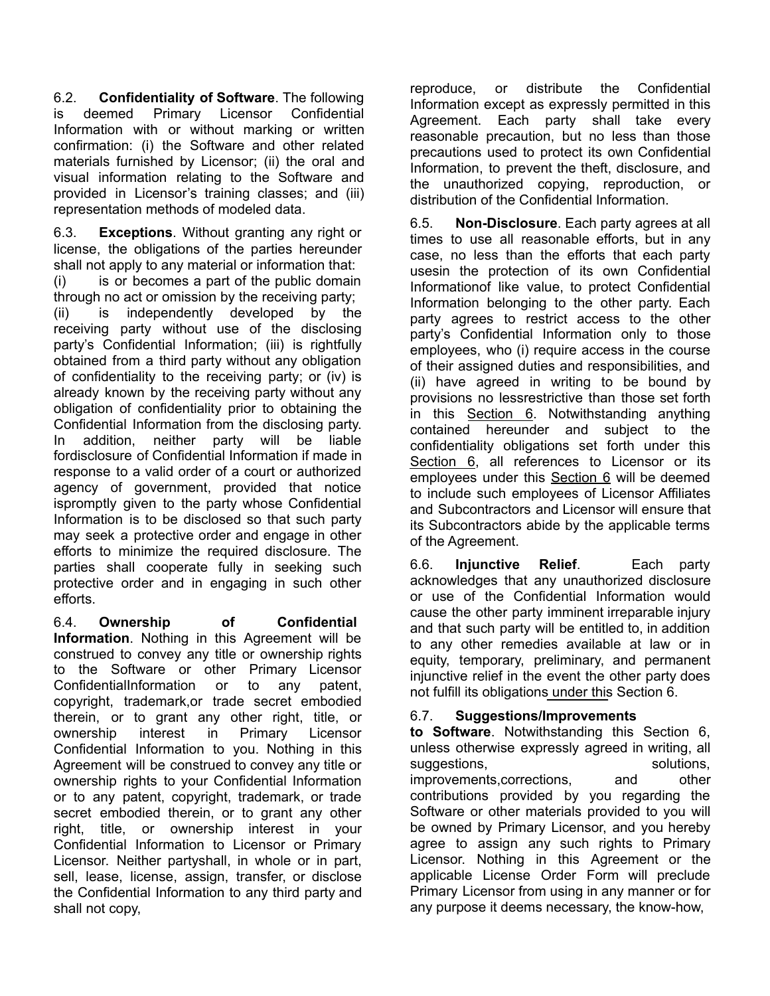6.2. **Confidentiality of Software**. The following is deemed Primary Licensor Confidential Information with or without marking or written confirmation: (i) the Software and other related materials furnished by Licensor; (ii) the oral and visual information relating to the Software and provided in Licensor's training classes; and (iii) representation methods of modeled data.

6.3. **Exceptions**. Without granting any right or license, the obligations of the parties hereunder shall not apply to any material or information that:

(i) is or becomes a part of the public domain through no act or omission by the receiving party;

(ii) is independently developed by the receiving party without use of the disclosing party's Confidential Information; (iii) is rightfully obtained from a third party without any obligation of confidentiality to the receiving party; or (iv) is already known by the receiving party without any obligation of confidentiality prior to obtaining the Confidential Information from the disclosing party. In addition, neither party will be liable fordisclosure of Confidential Information if made in response to a valid order of a court or authorized agency of government, provided that notice ispromptly given to the party whose Confidential Information is to be disclosed so that such party may seek a protective order and engage in other efforts to minimize the required disclosure. The parties shall cooperate fully in seeking such protective order and in engaging in such other efforts.

6.4. **Ownership of Confidential Information**. Nothing in this Agreement will be construed to convey any title or ownership rights to the Software or other Primary Licensor ConfidentialInformation or to any patent, copyright, trademark,or trade secret embodied therein, or to grant any other right, title, or ownership interest in Primary Licensor Confidential Information to you. Nothing in this Agreement will be construed to convey any title or ownership rights to your Confidential Information or to any patent, copyright, trademark, or trade secret embodied therein, or to grant any other right, title, or ownership interest in your Confidential Information to Licensor or Primary Licensor. Neither partyshall, in whole or in part, sell, lease, license, assign, transfer, or disclose the Confidential Information to any third party and shall not copy,

reproduce, or distribute the Confidential Information except as expressly permitted in this Agreement. Each party shall take every reasonable precaution, but no less than those precautions used to protect its own Confidential Information, to prevent the theft, disclosure, and the unauthorized copying, reproduction, or distribution of the Confidential Information.

6.5. **Non-Disclosure**. Each party agrees at all times to use all reasonable efforts, but in any case, no less than the efforts that each party usesin the protection of its own Confidential Informationof like value, to protect Confidential Information belonging to the other party. Each party agrees to restrict access to the other party's Confidential Information only to those employees, who (i) require access in the course of their assigned duties and responsibilities, and (ii) have agreed in writing to be bound by provisions no lessrestrictive than those set forth in this Section 6. Notwithstanding anything contained hereunder and subject to the confidentiality obligations set forth under this Section 6, all references to Licensor or its employees under this Section 6 will be deemed to include such employees of Licensor Affiliates and Subcontractors and Licensor will ensure that its Subcontractors abide by the applicable terms of the Agreement.

6.6. **Injunctive Relief**. Each party acknowledges that any unauthorized disclosure or use of the Confidential Information would cause the other party imminent irreparable injury and that such party will be entitled to, in addition to any other remedies available at law or in equity, temporary, preliminary, and permanent injunctive relief in the event the other party does not fulfill its obligations under this Section 6.

### 6.7. **Suggestions/Improvements**

**to Software**. Notwithstanding this Section 6, unless otherwise expressly agreed in writing, all suggestions, solutions, solutions, improvements,corrections, and other contributions provided by you regarding the Software or other materials provided to you will be owned by Primary Licensor, and you hereby agree to assign any such rights to Primary Licensor. Nothing in this Agreement or the applicable License Order Form will preclude Primary Licensor from using in any manner or for any purpose it deems necessary, the know-how,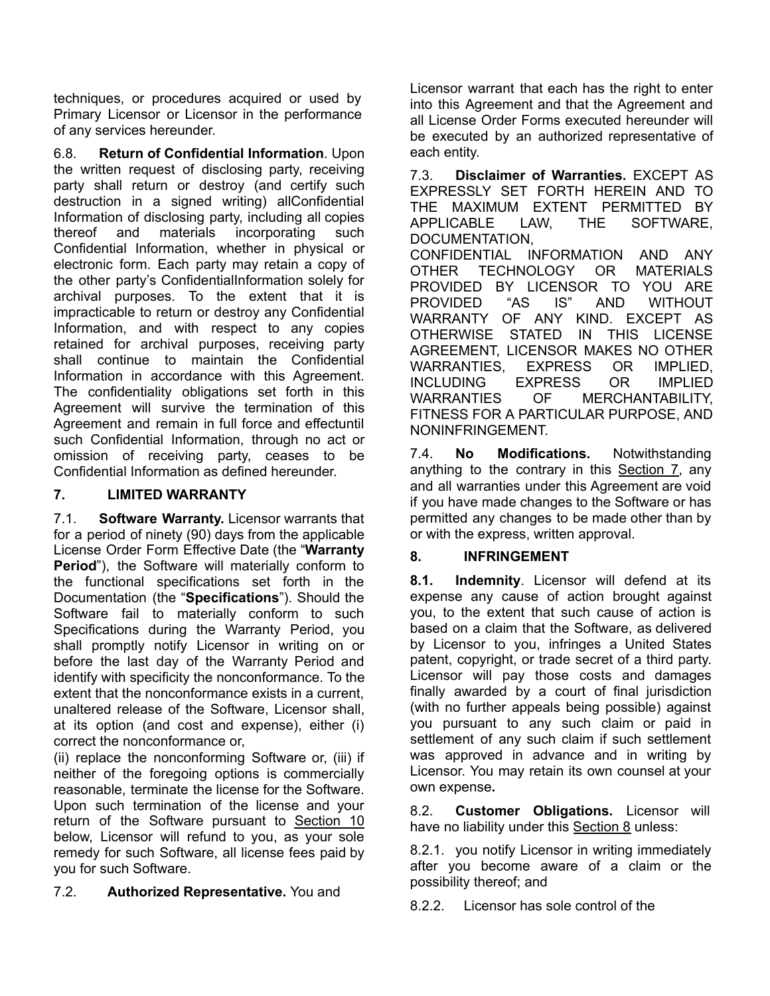techniques, or procedures acquired or used by Primary Licensor or Licensor in the performance of any services hereunder.

6.8. **Return of Confidential Information**. Upon the written request of disclosing party, receiving party shall return or destroy (and certify such destruction in a signed writing) allConfidential Information of disclosing party, including all copies thereof and materials incorporating such Confidential Information, whether in physical or electronic form. Each party may retain a copy of the other party's ConfidentialInformation solely for archival purposes. To the extent that it is impracticable to return or destroy any Confidential Information, and with respect to any copies retained for archival purposes, receiving party shall continue to maintain the Confidential Information in accordance with this Agreement. The confidentiality obligations set forth in this Agreement will survive the termination of this Agreement and remain in full force and effectuntil such Confidential Information, through no act or omission of receiving party, ceases to be Confidential Information as defined hereunder.

## **7. LIMITED WARRANTY**

7.1. **Software Warranty.** Licensor warrants that for a period of ninety (90) days from the applicable License Order Form Effective Date (the "**Warranty Period**"), the Software will materially conform to the functional specifications set forth in the Documentation (the "**Specifications**"). Should the Software fail to materially conform to such Specifications during the Warranty Period, you shall promptly notify Licensor in writing on or before the last day of the Warranty Period and identify with specificity the nonconformance. To the extent that the nonconformance exists in a current. unaltered release of the Software, Licensor shall, at its option (and cost and expense), either (i) correct the nonconformance or,

(ii) replace the nonconforming Software or, (iii) if neither of the foregoing options is commercially reasonable, terminate the license for the Software. Upon such termination of the license and your return of the Software pursuant to Section 10 below, Licensor will refund to you, as your sole remedy for such Software, all license fees paid by you for such Software.

### 7.2. **Authorized Representative.** You and

Licensor warrant that each has the right to enter into this Agreement and that the Agreement and all License Order Forms executed hereunder will be executed by an authorized representative of each entity.

7.3. **Disclaimer of Warranties.** EXCEPT AS EXPRESSLY SET FORTH HEREIN AND TO THE MAXIMUM EXTENT PERMITTED BY APPLICABLE LAW, THE SOFTWARE, DOCUMENTATION,

CONFIDENTIAL INFORMATION AND ANY OTHER TECHNOLOGY OR MATERIALS PROVIDED BY LICENSOR TO YOU ARE PROVIDED "AS IS" AND WITHOUT WARRANTY OF ANY KIND. EXCEPT AS OTHERWISE STATED IN THIS LICENSE AGREEMENT, LICENSOR MAKES NO OTHER WARRANTIES, EXPRESS OR IMPLIED, INCLUDING EXPRESS OR IMPLIED WARRANTIES OF MERCHANTABILITY, FITNESS FOR A PARTICULAR PURPOSE, AND NONINFRINGEMENT.

7.4. **No Modifications.** Notwithstanding anything to the contrary in this  $Section 7$ , any and all warranties under this Agreement are void if you have made changes to the Software or has permitted any changes to be made other than by or with the express, written approval.

### **8. INFRINGEMENT**

**8.1. Indemnity**. Licensor will defend at its expense any cause of action brought against you, to the extent that such cause of action is based on a claim that the Software, as delivered by Licensor to you, infringes a United States patent, copyright, or trade secret of a third party. Licensor will pay those costs and damages finally awarded by a court of final jurisdiction (with no further appeals being possible) against you pursuant to any such claim or paid in settlement of any such claim if such settlement was approved in advance and in writing by Licensor. You may retain its own counsel at your own expense**.**

8.2. **Customer Obligations.** Licensor will have no liability under this Section 8 unless:

8.2.1. you notify Licensor in writing immediately after you become aware of a claim or the possibility thereof; and

8.2.2. Licensor has sole control of the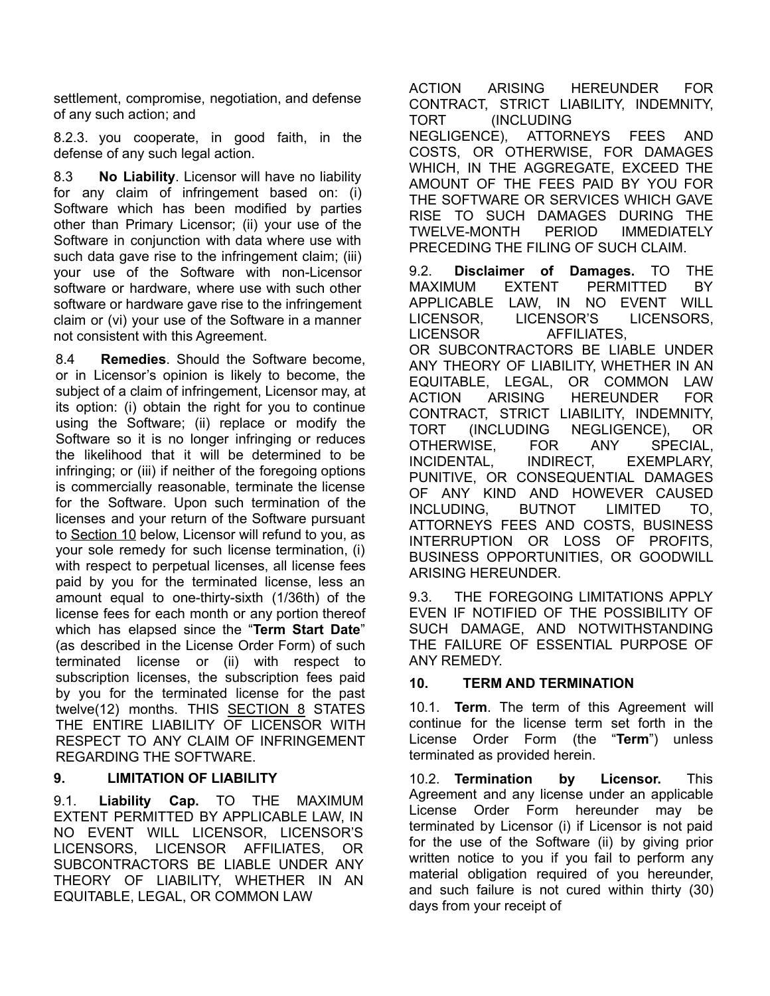settlement, compromise, negotiation, and defense of any such action; and

8.2.3. you cooperate, in good faith, in the defense of any such legal action.

8.3 **No Liability**. Licensor will have no liability for any claim of infringement based on: (i) Software which has been modified by parties other than Primary Licensor; (ii) your use of the Software in conjunction with data where use with such data gave rise to the infringement claim; (iii) your use of the Software with non-Licensor software or hardware, where use with such other software or hardware gave rise to the infringement claim or (vi) your use of the Software in a manner not consistent with this Agreement.

8.4 **Remedies**. Should the Software become, or in Licensor's opinion is likely to become, the subject of a claim of infringement, Licensor may, at its option: (i) obtain the right for you to continue using the Software; (ii) replace or modify the Software so it is no longer infringing or reduces the likelihood that it will be determined to be infringing; or (iii) if neither of the foregoing options is commercially reasonable, terminate the license for the Software. Upon such termination of the licenses and your return of the Software pursuant to Section 10 below, Licensor will refund to you, as your sole remedy for such license termination, (i) with respect to perpetual licenses, all license fees paid by you for the terminated license, less an amount equal to one-thirty-sixth (1/36th) of the license fees for each month or any portion thereof which has elapsed since the "**Term Start Date**" (as described in the License Order Form) of such terminated license or (ii) with respect to subscription licenses, the subscription fees paid by you for the terminated license for the past twelve(12) months. THIS SECTION 8 STATES THE ENTIRE LIABILITY OF LICENSOR WITH RESPECT TO ANY CLAIM OF INFRINGEMENT REGARDING THE SOFTWARE.

### **9. LIMITATION OF LIABILITY**

9.1. **Liability Cap.** TO THE MAXIMUM EXTENT PERMITTED BY APPLICABLE LAW, IN NO EVENT WILL LICENSOR, LICENSOR'S LICENSORS, LICENSOR AFFILIATES, OR SUBCONTRACTORS BE LIABLE UNDER ANY THEORY OF LIABILITY, WHETHER IN AN EQUITABLE, LEGAL, OR COMMON LAW

ACTION ARISING HEREUNDER FOR CONTRACT, STRICT LIABILITY, INDEMNITY, TORT (INCLUDING

NEGLIGENCE), ATTORNEYS FEES AND COSTS, OR OTHERWISE, FOR DAMAGES WHICH, IN THE AGGREGATE, EXCEED THE AMOUNT OF THE FEES PAID BY YOU FOR THE SOFTWARE OR SERVICES WHICH GAVE RISE TO SUCH DAMAGES DURING THE TWELVE-MONTH PERIOD IMMEDIATELY PRECEDING THE FILING OF SUCH CLAIM.

9.2. **Disclaimer of Damages.** TO THE MAXIMUM EXTENT PERMITTED BY APPLICABLE LAW, IN NO EVENT WILL LICENSOR, LICENSOR'S LICENSORS, LICENSOR AFFILIATES, OR SUBCONTRACTORS BE LIABLE UNDER ANY THEORY OF LIABILITY, WHETHER IN AN EQUITABLE, LEGAL, OR COMMON LAW ACTION ARISING HEREUNDER FOR CONTRACT, STRICT LIABILITY, INDEMNITY, TORT (INCLUDING NEGLIGENCE), OR OTHERWISE, FOR ANY SPECIAL, INCIDENTAL, INDIRECT, EXEMPLARY, PUNITIVE, OR CONSEQUENTIAL DAMAGES OF ANY KIND AND HOWEVER CAUSED INCLUDING, BUTNOT LIMITED TO, ATTORNEYS FEES AND COSTS, BUSINESS INTERRUPTION OR LOSS OF PROFITS, BUSINESS OPPORTUNITIES, OR GOODWILL ARISING HEREUNDER.

9.3. THE FOREGOING LIMITATIONS APPLY EVEN IF NOTIFIED OF THE POSSIBILITY OF SUCH DAMAGE, AND NOTWITHSTANDING THE FAILURE OF ESSENTIAL PURPOSE OF ANY REMEDY.

### **10. TERM AND TERMINATION**

10.1. **Term**. The term of this Agreement will continue for the license term set forth in the License Order Form (the "**Term**") unless terminated as provided herein.

10.2. **Termination by Licensor.** This Agreement and any license under an applicable License Order Form hereunder may be terminated by Licensor (i) if Licensor is not paid for the use of the Software (ii) by giving prior written notice to you if you fail to perform any material obligation required of you hereunder, and such failure is not cured within thirty (30) days from your receipt of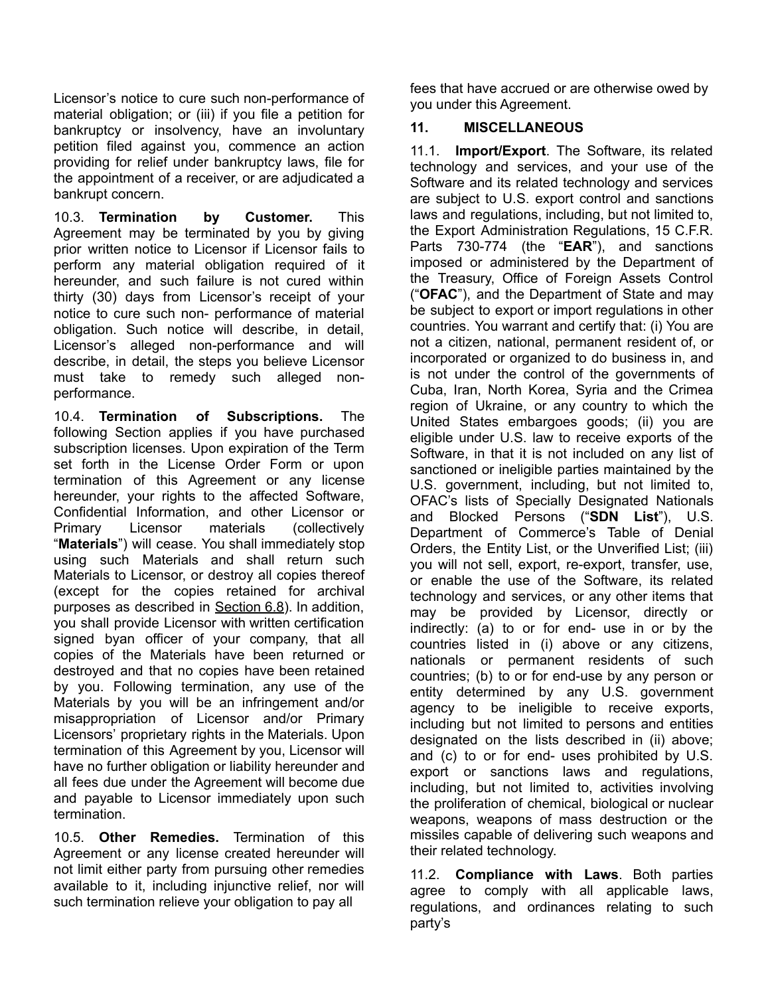Licensor's notice to cure such non-performance of material obligation; or (iii) if you file a petition for bankruptcy or insolvency, have an involuntary petition filed against you, commence an action providing for relief under bankruptcy laws, file for the appointment of a receiver, or are adjudicated a bankrupt concern.

10.3. **Termination by Customer.** This Agreement may be terminated by you by giving prior written notice to Licensor if Licensor fails to perform any material obligation required of it hereunder, and such failure is not cured within thirty (30) days from Licensor's receipt of your notice to cure such non- performance of material obligation. Such notice will describe, in detail, Licensor's alleged non-performance and will describe, in detail, the steps you believe Licensor must take to remedy such alleged nonperformance.

10.4. **Termination of Subscriptions.** The following Section applies if you have purchased subscription licenses. Upon expiration of the Term set forth in the License Order Form or upon termination of this Agreement or any license hereunder, your rights to the affected Software, Confidential Information, and other Licensor or Primary Licensor materials (collectively "**Materials**") will cease. You shall immediately stop using such Materials and shall return such Materials to Licensor, or destroy all copies thereof (except for the copies retained for archival purposes as described in Section 6.8). In addition, you shall provide Licensor with written certification signed byan officer of your company, that all copies of the Materials have been returned or destroyed and that no copies have been retained by you. Following termination, any use of the Materials by you will be an infringement and/or misappropriation of Licensor and/or Primary Licensors' proprietary rights in the Materials. Upon termination of this Agreement by you, Licensor will have no further obligation or liability hereunder and all fees due under the Agreement will become due and payable to Licensor immediately upon such termination.

10.5. **Other Remedies.** Termination of this Agreement or any license created hereunder will not limit either party from pursuing other remedies available to it, including injunctive relief, nor will such termination relieve your obligation to pay all

fees that have accrued or are otherwise owed by you under this Agreement.

## **11. MISCELLANEOUS**

11.1. **Import/Export**. The Software, its related technology and services, and your use of the Software and its related technology and services are subject to U.S. export control and sanctions laws and regulations, including, but not limited to, the Export Administration Regulations, 15 C.F.R. Parts 730-774 (the "**EAR**"), and sanctions imposed or administered by the Department of the Treasury, Office of Foreign Assets Control ("**OFAC**"), and the Department of State and may be subject to export or import regulations in other countries. You warrant and certify that: (i) You are not a citizen, national, permanent resident of, or incorporated or organized to do business in, and is not under the control of the governments of Cuba, Iran, North Korea, Syria and the Crimea region of Ukraine, or any country to which the United States embargoes goods; (ii) you are eligible under U.S. law to receive exports of the Software, in that it is not included on any list of sanctioned or ineligible parties maintained by the U.S. government, including, but not limited to, OFAC's lists of Specially Designated Nationals and Blocked Persons ("**SDN List**"), U.S. Department of Commerce's Table of Denial Orders, the Entity List, or the Unverified List; (iii) you will not sell, export, re-export, transfer, use, or enable the use of the Software, its related technology and services, or any other items that may be provided by Licensor, directly or indirectly: (a) to or for end- use in or by the countries listed in (i) above or any citizens, nationals or permanent residents of such countries; (b) to or for end-use by any person or entity determined by any U.S. government agency to be ineligible to receive exports, including but not limited to persons and entities designated on the lists described in (ii) above; and (c) to or for end- uses prohibited by U.S. export or sanctions laws and regulations, including, but not limited to, activities involving the proliferation of chemical, biological or nuclear weapons, weapons of mass destruction or the missiles capable of delivering such weapons and their related technology.

11.2. **Compliance with Laws**. Both parties agree to comply with all applicable laws, regulations, and ordinances relating to such party's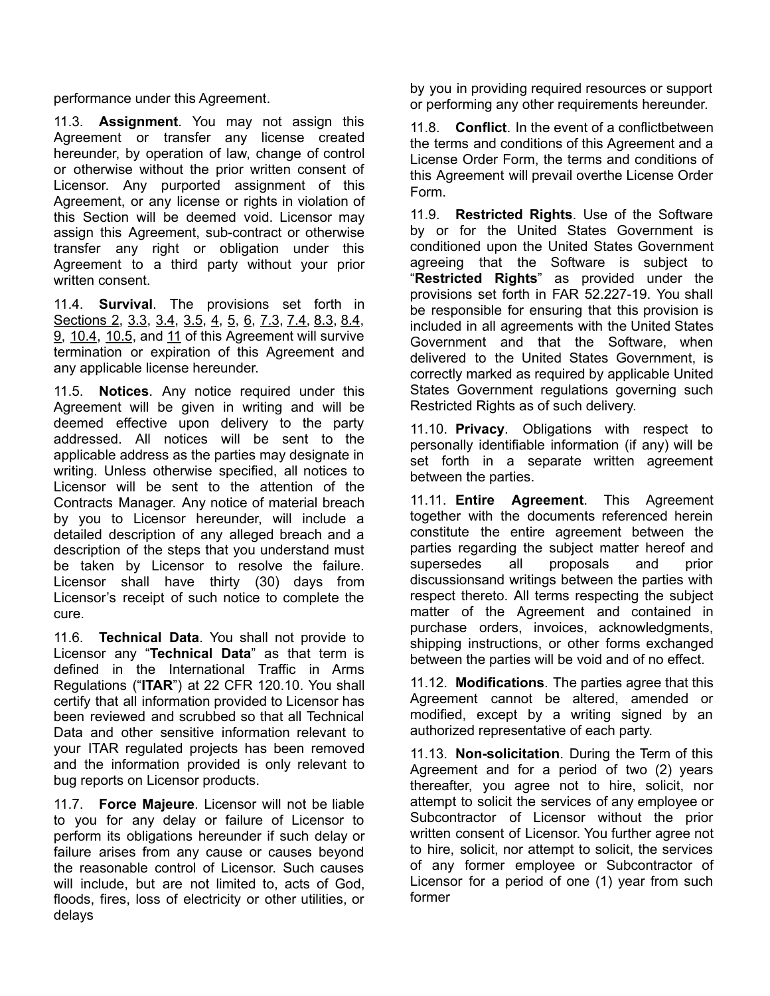performance under this Agreement.

11.3. **Assignment**. You may not assign this Agreement or transfer any license created hereunder, by operation of law, change of control or otherwise without the prior written consent of Licensor. Any purported assignment of this Agreement, or any license or rights in violation of this Section will be deemed void. Licensor may assign this Agreement, sub-contract or otherwise transfer any right or obligation under this Agreement to a third party without your prior written consent.

11.4. **Survival**. The provisions set forth in Sections 2, 3.3, 3.4, 3.5, 4, 5, 6, 7.3, 7.4, 8.3, 8.4, 9, 10.4, 10.5, and 11 of this Agreement will survive termination or expiration of this Agreement and any applicable license hereunder.

11.5. **Notices**. Any notice required under this Agreement will be given in writing and will be deemed effective upon delivery to the party addressed. All notices will be sent to the applicable address as the parties may designate in writing. Unless otherwise specified, all notices to Licensor will be sent to the attention of the Contracts Manager. Any notice of material breach by you to Licensor hereunder, will include a detailed description of any alleged breach and a description of the steps that you understand must be taken by Licensor to resolve the failure. Licensor shall have thirty (30) days from Licensor's receipt of such notice to complete the cure.

11.6. **Technical Data**. You shall not provide to Licensor any "**Technical Data**" as that term is defined in the International Traffic in Arms Regulations ("**ITAR**") at 22 CFR 120.10. You shall certify that all information provided to Licensor has been reviewed and scrubbed so that all Technical Data and other sensitive information relevant to your ITAR regulated projects has been removed and the information provided is only relevant to bug reports on Licensor products.

11.7. **Force Majeure**. Licensor will not be liable to you for any delay or failure of Licensor to perform its obligations hereunder if such delay or failure arises from any cause or causes beyond the reasonable control of Licensor. Such causes will include, but are not limited to, acts of God, floods, fires, loss of electricity or other utilities, or delays

by you in providing required resources or support or performing any other requirements hereunder.

11.8. **Conflict**. In the event of a conflictbetween the terms and conditions of this Agreement and a License Order Form, the terms and conditions of this Agreement will prevail overthe License Order Form.

11.9. **Restricted Rights**. Use of the Software by or for the United States Government is conditioned upon the United States Government agreeing that the Software is subject to "**Restricted Rights**" as provided under the provisions set forth in FAR 52.227-19. You shall be responsible for ensuring that this provision is included in all agreements with the United States Government and that the Software, when delivered to the United States Government, is correctly marked as required by applicable United States Government regulations governing such Restricted Rights as of such delivery.

11.10. **Privacy**. Obligations with respect to personally identifiable information (if any) will be set forth in a separate written agreement between the parties.

11.11. **Entire Agreement**. This Agreement together with the documents referenced herein constitute the entire agreement between the parties regarding the subject matter hereof and supersedes all proposals and prior discussionsand writings between the parties with respect thereto. All terms respecting the subject matter of the Agreement and contained in purchase orders, invoices, acknowledgments, shipping instructions, or other forms exchanged between the parties will be void and of no effect.

11.12. **Modifications**. The parties agree that this Agreement cannot be altered, amended or modified, except by a writing signed by an authorized representative of each party.

11.13. **Non-solicitation**. During the Term of this Agreement and for a period of two (2) years thereafter, you agree not to hire, solicit, nor attempt to solicit the services of any employee or Subcontractor of Licensor without the prior written consent of Licensor. You further agree not to hire, solicit, nor attempt to solicit, the services of any former employee or Subcontractor of Licensor for a period of one (1) year from such former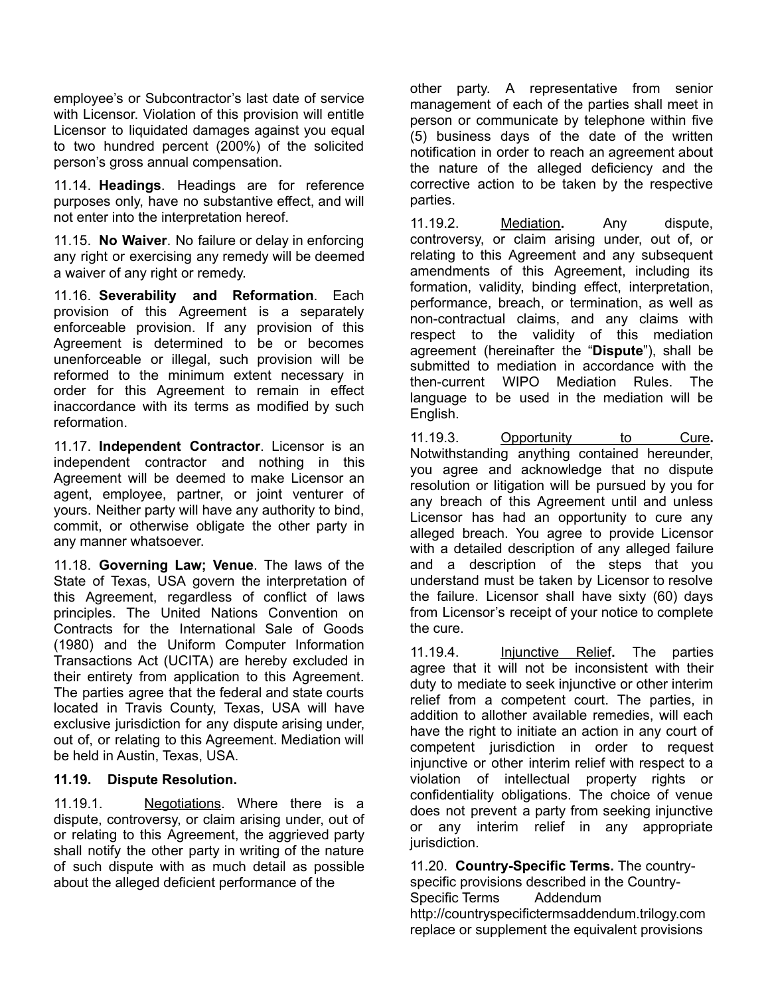employee's or Subcontractor's last date of service with Licensor. Violation of this provision will entitle Licensor to liquidated damages against you equal to two hundred percent (200%) of the solicited person's gross annual compensation.

11.14. **Headings**. Headings are for reference purposes only, have no substantive effect, and will not enter into the interpretation hereof.

11.15. **No Waiver**. No failure or delay in enforcing any right or exercising any remedy will be deemed a waiver of any right or remedy.

11.16. **Severability and Reformation**. Each provision of this Agreement is a separately enforceable provision. If any provision of this Agreement is determined to be or becomes unenforceable or illegal, such provision will be reformed to the minimum extent necessary in order for this Agreement to remain in effect inaccordance with its terms as modified by such reformation.

11.17. **Independent Contractor**. Licensor is an independent contractor and nothing in this Agreement will be deemed to make Licensor an agent, employee, partner, or joint venturer of yours. Neither party will have any authority to bind, commit, or otherwise obligate the other party in any manner whatsoever.

11.18. **Governing Law; Venue**. The laws of the State of Texas, USA govern the interpretation of this Agreement, regardless of conflict of laws principles. The United Nations Convention on Contracts for the International Sale of Goods (1980) and the Uniform Computer Information Transactions Act (UCITA) are hereby excluded in their entirety from application to this Agreement. The parties agree that the federal and state courts located in Travis County, Texas, USA will have exclusive jurisdiction for any dispute arising under, out of, or relating to this Agreement. Mediation will be held in Austin, Texas, USA.

#### **11.19. Dispute Resolution.**

11.19.1. Negotiations. Where there is a dispute, controversy, or claim arising under, out of or relating to this Agreement, the aggrieved party shall notify the other party in writing of the nature of such dispute with as much detail as possible about the alleged deficient performance of the

other party. A representative from senior management of each of the parties shall meet in person or communicate by telephone within five (5) business days of the date of the written notification in order to reach an agreement about the nature of the alleged deficiency and the corrective action to be taken by the respective parties.

11.19.2. Mediation**.** Any dispute, controversy, or claim arising under, out of, or relating to this Agreement and any subsequent amendments of this Agreement, including its formation, validity, binding effect, interpretation, performance, breach, or termination, as well as non-contractual claims, and any claims with respect to the validity of this mediation agreement (hereinafter the "**Dispute**"), shall be submitted to mediation in accordance with the then-current WIPO Mediation Rules. The language to be used in the mediation will be English.

11.19.3. Opportunity to Cure**.** Notwithstanding anything contained hereunder, you agree and acknowledge that no dispute resolution or litigation will be pursued by you for any breach of this Agreement until and unless Licensor has had an opportunity to cure any alleged breach. You agree to provide Licensor with a detailed description of any alleged failure and a description of the steps that you understand must be taken by Licensor to resolve the failure. Licensor shall have sixty (60) days from Licensor's receipt of your notice to complete the cure.

11.19.4. Injunctive Relief**.** The parties agree that it will not be inconsistent with their duty to mediate to seek injunctive or other interim relief from a competent court. The parties, in addition to allother available remedies, will each have the right to initiate an action in any court of competent jurisdiction in order to request injunctive or other interim relief with respect to a violation of intellectual property rights or confidentiality obligations. The choice of venue does not prevent a party from seeking injunctive or any interim relief in any appropriate jurisdiction.

11.20. **Country-Specific Terms.** The countryspecific provisions described in the Country-Specific Terms Addendum [http://countryspecifictermsaddendum.trilogy.com](http://countryspecifictermsaddendum.trilogy.com/) replace or supplement the equivalent provisions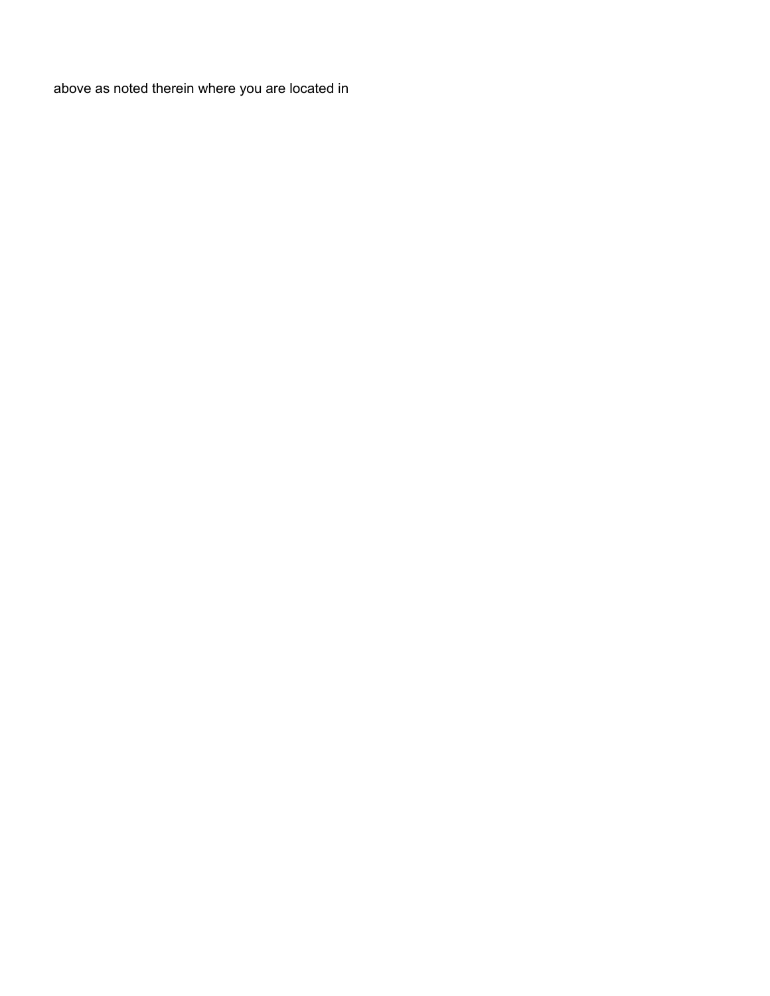above as noted therein where you are located in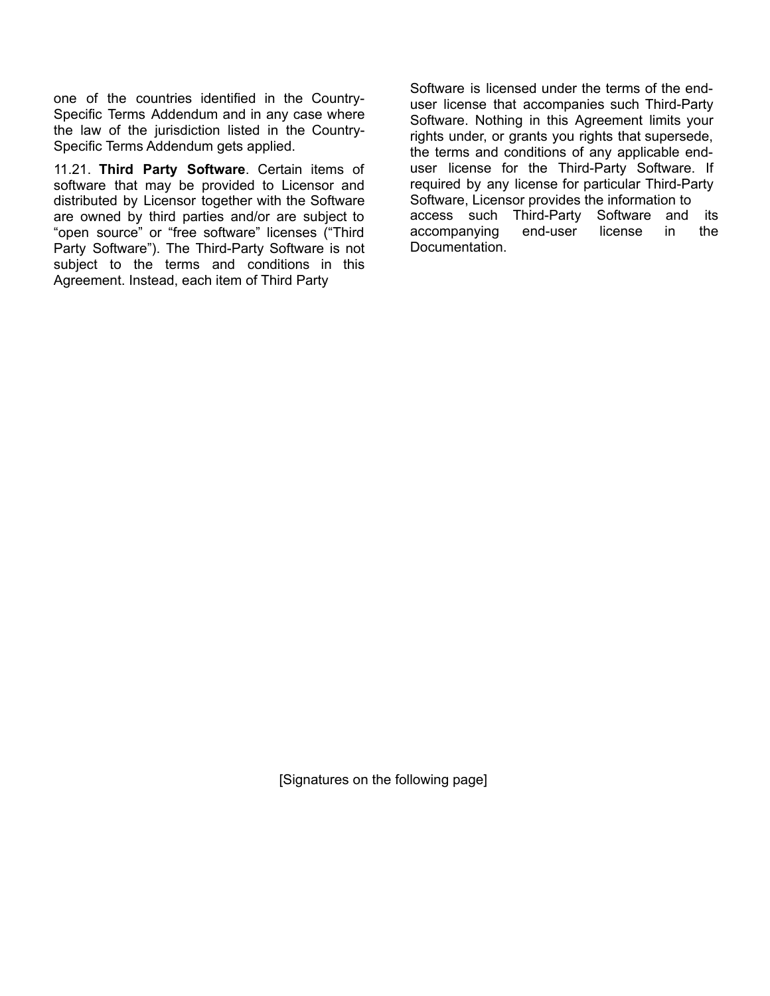one of the countries identified in the Country-Specific Terms Addendum and in any case where the law of the jurisdiction listed in the Country-Specific Terms Addendum gets applied.

11.21. **Third Party Software**. Certain items of software that may be provided to Licensor and distributed by Licensor together with the Software are owned by third parties and/or are subject to "open source" or "free software" licenses ("Third Party Software"). The Third-Party Software is not subject to the terms and conditions in this Agreement. Instead, each item of Third Party

Software is licensed under the terms of the enduser license that accompanies such Third-Party Software. Nothing in this Agreement limits your rights under, or grants you rights that supersede, the terms and conditions of any applicable enduser license for the Third-Party Software. If required by any license for particular Third-Party Software, Licensor provides the information to access such Third-Party Software and its accompanying end-user license in the Documentation.

[Signatures on the following page]